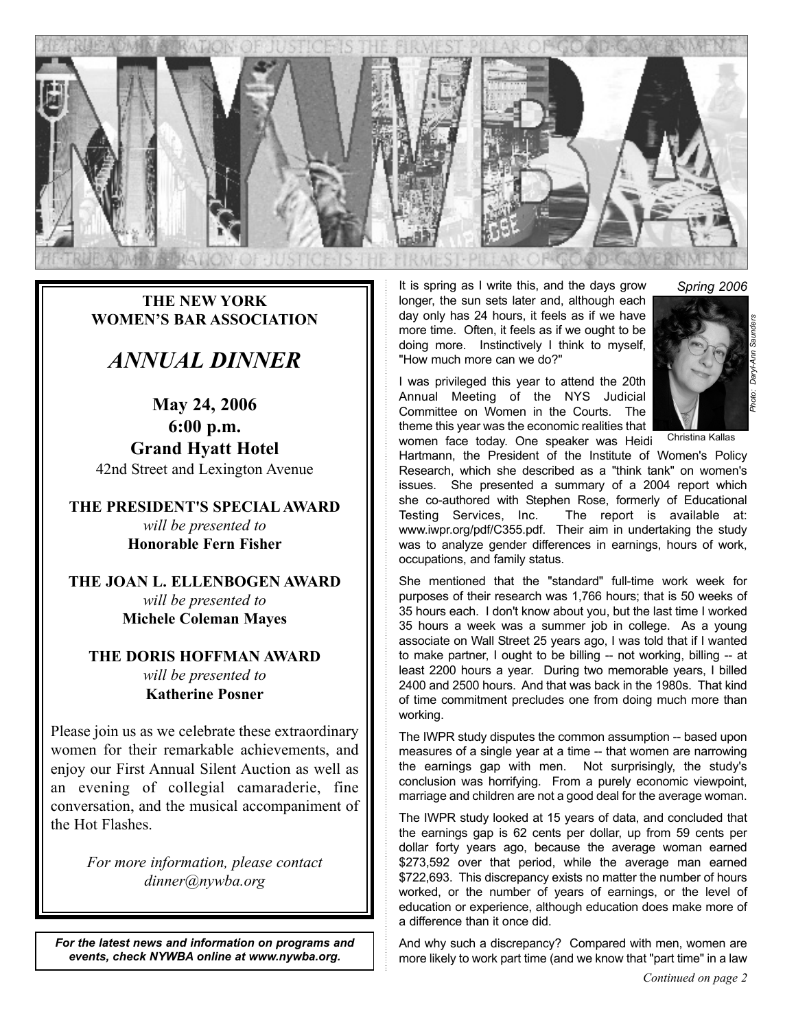

**THE NEW YORK WOMEN'S BAR ASSOCIATION**

## *ANNUAL DINNER*

**May 24, 2006 6:00 p.m. Grand Hyatt Hotel** 42nd Street and Lexington Avenue

**THE PRESIDENT'S SPECIAL AWARD** *will be presented to* **Honorable Fern Fisher**

**THE JOAN L. ELLENBOGEN AWARD** *will be presented to* **Michele Coleman Mayes**

**THE DORIS HOFFMAN AWARD** *will be presented to* **Katherine Posner**

Please join us as we celebrate these extraordinary women for their remarkable achievements, and enjoy our First Annual Silent Auction as well as an evening of collegial camaraderie, fine conversation, and the musical accompaniment of the Hot Flashes.

> *For more information, please contact dinner@nywba.org*

*For the latest news and information on programs and events, check NYWBA online at www.nywba.org.*

It is spring as I write this, and the days grow longer, the sun sets later and, although each day only has 24 hours, it feels as if we have more time. Often, it feels as if we ought to be doing more. Instinctively I think to myself, "How much more can we do?"

I was privileged this year to attend the 20th Annual Meeting of the NYS Judicial Committee on Women in the Courts. The theme this year was the economic realities that

*Photo: Daryl-Ann Saunders Spring 2006*

Christina Kallas

women face today. One speaker was Heidi Hartmann, the President of the Institute of Women's Policy Research, which she described as a "think tank" on women's issues. She presented a summary of a 2004 report which she co-authored with Stephen Rose, formerly of Educational Testing Services, Inc. The report is available at: www.iwpr.org/pdf/C355.pdf. Their aim in undertaking the study was to analyze gender differences in earnings, hours of work, occupations, and family status.

She mentioned that the "standard" full-time work week for purposes of their research was 1,766 hours; that is 50 weeks of 35 hours each. I don't know about you, but the last time I worked 35 hours a week was a summer job in college. As a young associate on Wall Street 25 years ago, I was told that if I wanted to make partner, I ought to be billing -- not working, billing -- at least 2200 hours a year. During two memorable years, I billed 2400 and 2500 hours. And that was back in the 1980s. That kind of time commitment precludes one from doing much more than working.

The IWPR study disputes the common assumption -- based upon measures of a single year at a time -- that women are narrowing the earnings gap with men. Not surprisingly, the study's conclusion was horrifying. From a purely economic viewpoint, marriage and children are not a good deal for the average woman.

The IWPR study looked at 15 years of data, and concluded that the earnings gap is 62 cents per dollar, up from 59 cents per dollar forty years ago, because the average woman earned \$273,592 over that period, while the average man earned \$722,693. This discrepancy exists no matter the number of hours worked, or the number of years of earnings, or the level of education or experience, although education does make more of a difference than it once did.

And why such a discrepancy? Compared with men, women are more likely to work part time (and we know that "part time" in a law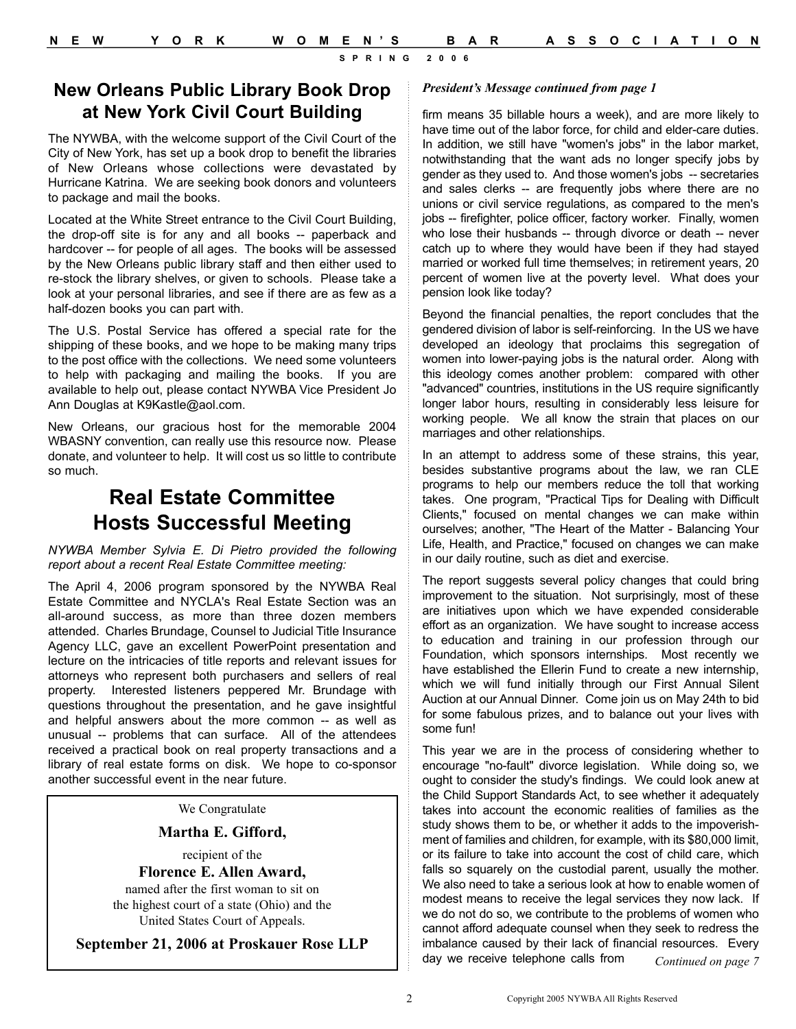#### **New Orleans Public Library Book Drop** *President's Message continued from page 1* **at New York Civil Court Building**

The NYWBA, with the welcome support of the Civil Court of the City of New York, has set up a book drop to benefit the libraries of New Orleans whose collections were devastated by Hurricane Katrina. We are seeking book donors and volunteers to package and mail the books.

Located at the White Street entrance to the Civil Court Building, the drop-off site is for any and all books -- paperback and hardcover -- for people of all ages. The books will be assessed by the New Orleans public library staff and then either used to re-stock the library shelves, or given to schools. Please take a look at your personal libraries, and see if there are as few as a half-dozen books you can part with.

The U.S. Postal Service has offered a special rate for the shipping of these books, and we hope to be making many trips to the post office with the collections. We need some volunteers to help with packaging and mailing the books. If you are available to help out, please contact NYWBA Vice President Jo Ann Douglas at K9Kastle@aol.com.

New Orleans, our gracious host for the memorable 2004 WBASNY convention, can really use this resource now. Please donate, and volunteer to help. It will cost us so little to contribute so much.

### **Real Estate Committee Hosts Successful Meeting**

*NYWBA Member Sylvia E. Di Pietro provided the following report about a recent Real Estate Committee meeting:*

The April 4, 2006 program sponsored by the NYWBA Real Estate Committee and NYCLA's Real Estate Section was an all-around success, as more than three dozen members attended. Charles Brundage, Counsel to Judicial Title Insurance Agency LLC, gave an excellent PowerPoint presentation and lecture on the intricacies of title reports and relevant issues for attorneys who represent both purchasers and sellers of real property. Interested listeners peppered Mr. Brundage with questions throughout the presentation, and he gave insightful and helpful answers about the more common -- as well as unusual -- problems that can surface. All of the attendees received a practical book on real property transactions and a library of real estate forms on disk. We hope to co-sponsor another successful event in the near future.

We Congratulate

**Martha E. Gifford,**

recipient of the **Florence E. Allen Award,**

named after the first woman to sit on

the highest court of a state (Ohio) and the United States Court of Appeals.

#### **September 21, 2006 at Proskauer Rose LLP**

firm means 35 billable hours a week), and are more likely to have time out of the labor force, for child and elder-care duties. In addition, we still have "women's jobs" in the labor market, notwithstanding that the want ads no longer specify jobs by gender as they used to. And those women's jobs -- secretaries and sales clerks -- are frequently jobs where there are no unions or civil service regulations, as compared to the men's jobs -- firefighter, police officer, factory worker. Finally, women who lose their husbands -- through divorce or death -- never catch up to where they would have been if they had stayed married or worked full time themselves; in retirement years, 20 percent of women live at the poverty level. What does your pension look like today?

Beyond the financial penalties, the report concludes that the gendered division of labor is self-reinforcing. In the US we have developed an ideology that proclaims this segregation of women into lower-paying jobs is the natural order. Along with this ideology comes another problem: compared with other "advanced" countries, institutions in the US require significantly longer labor hours, resulting in considerably less leisure for working people. We all know the strain that places on our marriages and other relationships.

In an attempt to address some of these strains, this year, besides substantive programs about the law, we ran CLE programs to help our members reduce the toll that working takes. One program, "Practical Tips for Dealing with Difficult Clients," focused on mental changes we can make within ourselves; another, "The Heart of the Matter - Balancing Your Life, Health, and Practice," focused on changes we can make in our daily routine, such as diet and exercise.

The report suggests several policy changes that could bring improvement to the situation. Not surprisingly, most of these are initiatives upon which we have expended considerable effort as an organization. We have sought to increase access to education and training in our profession through our Foundation, which sponsors internships. Most recently we have established the Ellerin Fund to create a new internship, which we will fund initially through our First Annual Silent Auction at our Annual Dinner. Come join us on May 24th to bid for some fabulous prizes, and to balance out your lives with some fun!

This year we are in the process of considering whether to encourage "no-fault" divorce legislation. While doing so, we ought to consider the study's findings. We could look anew at the Child Support Standards Act, to see whether it adequately takes into account the economic realities of families as the study shows them to be, or whether it adds to the impoverishment of families and children, for example, with its \$80,000 limit, or its failure to take into account the cost of child care, which falls so squarely on the custodial parent, usually the mother. We also need to take a serious look at how to enable women of modest means to receive the legal services they now lack. If we do not do so, we contribute to the problems of women who cannot afford adequate counsel when they seek to redress the imbalance caused by their lack of financial resources. Every day we receive telephone calls from *Continued on page 7*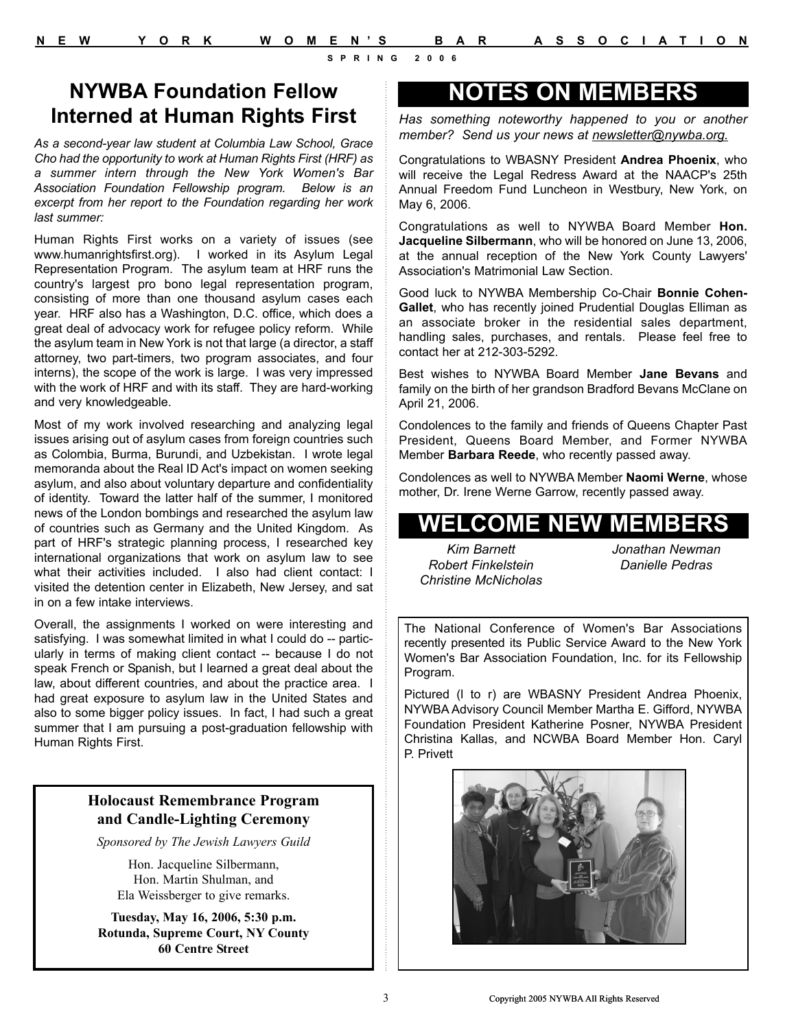### **NYWBA Foundation Fellow Interned at Human Rights First**

*As a second-year law student at Columbia Law School, Grace Cho had the opportunity to work at Human Rights First (HRF) as a summer intern through the New York Women's Bar Association Foundation Fellowship program. Below is an excerpt from her report to the Foundation regarding her work last summer:*

Human Rights First works on a variety of issues (see www.humanrightsfirst.org). I worked in its Asylum Legal Representation Program. The asylum team at HRF runs the country's largest pro bono legal representation program, consisting of more than one thousand asylum cases each year. HRF also has a Washington, D.C. office, which does a great deal of advocacy work for refugee policy reform. While the asylum team in New York is not that large (a director, a staff attorney, two part-timers, two program associates, and four interns), the scope of the work is large. I was very impressed with the work of HRF and with its staff. They are hard-working and very knowledgeable.

Most of my work involved researching and analyzing legal issues arising out of asylum cases from foreign countries such as Colombia, Burma, Burundi, and Uzbekistan. I wrote legal memoranda about the Real ID Act's impact on women seeking asylum, and also about voluntary departure and confidentiality of identity. Toward the latter half of the summer, I monitored news of the London bombings and researched the asylum law of countries such as Germany and the United Kingdom. As part of HRF's strategic planning process, I researched key international organizations that work on asylum law to see what their activities included. I also had client contact: I visited the detention center in Elizabeth, New Jersey, and sat in on a few intake interviews.

Overall, the assignments I worked on were interesting and satisfying. I was somewhat limited in what I could do -- particularly in terms of making client contact -- because I do not speak French or Spanish, but I learned a great deal about the law, about different countries, and about the practice area. I had great exposure to asylum law in the United States and also to some bigger policy issues. In fact, I had such a great summer that I am pursuing a post-graduation fellowship with Human Rights First.

#### **Holocaust Remembrance Program and Candle-Lighting Ceremony**

*Sponsored by The Jewish Lawyers Guild*

Hon. Jacqueline Silbermann, Hon. Martin Shulman, and Ela Weissberger to give remarks.

**Tuesday, May 16, 2006, 5:30 p.m. Rotunda, Supreme Court, NY County 60 Centre Street**

## **NOTES ON MEMBERS**

*Has something noteworthy happened to you or another member? Send us your news at newsletter@nywba.org.*

Congratulations to WBASNY President **Andrea Phoenix**, who will receive the Legal Redress Award at the NAACP's 25th Annual Freedom Fund Luncheon in Westbury, New York, on May 6, 2006.

Congratulations as well to NYWBA Board Member **Hon. Jacqueline Silbermann**, who will be honored on June 13, 2006, at the annual reception of the New York County Lawyers' Association's Matrimonial Law Section.

Good luck to NYWBA Membership Co-Chair **Bonnie Cohen-Gallet**, who has recently joined Prudential Douglas Elliman as an associate broker in the residential sales department, handling sales, purchases, and rentals. Please feel free to contact her at 212-303-5292.

Best wishes to NYWBA Board Member **Jane Bevans** and family on the birth of her grandson Bradford Bevans McClane on April 21, 2006.

Condolences to the family and friends of Queens Chapter Past President, Queens Board Member, and Former NYWBA Member **Barbara Reede**, who recently passed away.

Condolences as well to NYWBA Member **Naomi Werne**, whose mother, Dr. Irene Werne Garrow, recently passed away.

# **WELCOME NEW MEMBERS**

*Kim Barnett Robert Finkelstein Christine McNicholas* *Jonathan Newman Danielle Pedras*

The National Conference of Women's Bar Associations recently presented its Public Service Award to the New York Women's Bar Association Foundation, Inc. for its Fellowship Program.

Pictured (l to r) are WBASNY President Andrea Phoenix, NYWBA Advisory Council Member Martha E. Gifford, NYWBA Foundation President Katherine Posner, NYWBA President Christina Kallas, and NCWBA Board Member Hon. Caryl P. Privett

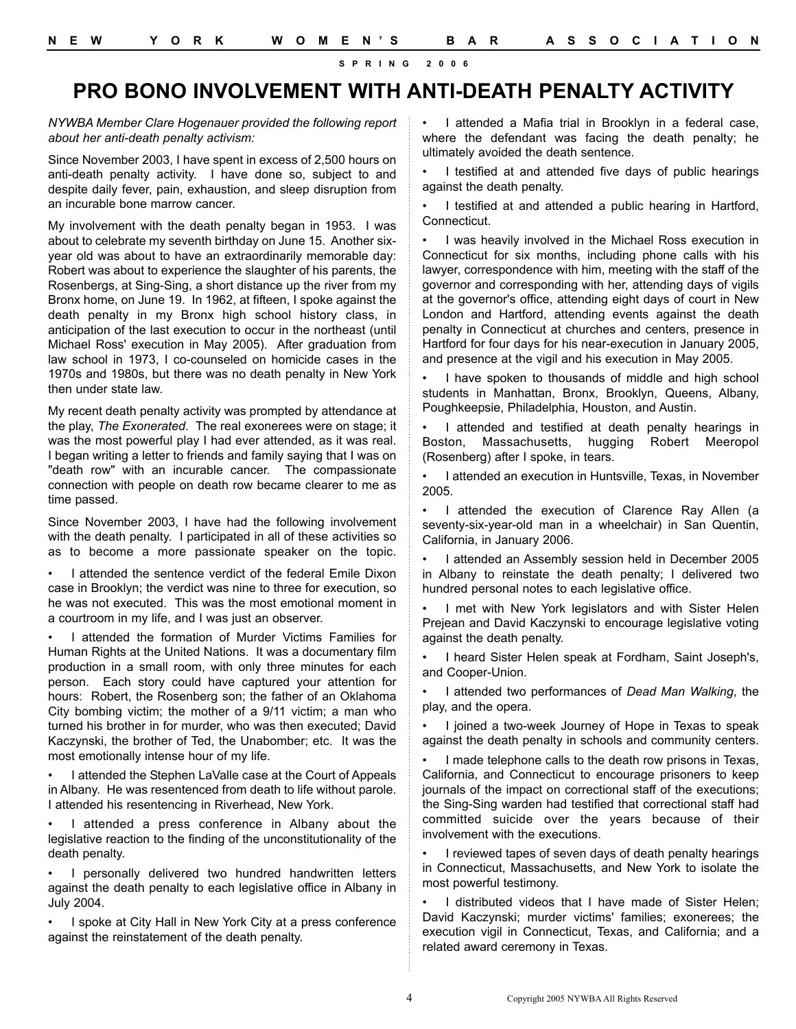### **PRO BONO INVOLVEMENT WITH ANTI-DEATH PENALTY ACTIVITY**

*NYWBA Member Clare Hogenauer provided the following report about her anti-death penalty activism:*

Since November 2003, I have spent in excess of 2,500 hours on anti-death penalty activity. I have done so, subject to and despite daily fever, pain, exhaustion, and sleep disruption from an incurable bone marrow cancer.

My involvement with the death penalty began in 1953. I was about to celebrate my seventh birthday on June 15. Another sixyear old was about to have an extraordinarily memorable day: Robert was about to experience the slaughter of his parents, the Rosenbergs, at Sing-Sing, a short distance up the river from my Bronx home, on June 19. In 1962, at fifteen, I spoke against the death penalty in my Bronx high school history class, in anticipation of the last execution to occur in the northeast (until Michael Ross' execution in May 2005). After graduation from law school in 1973, I co-counseled on homicide cases in the 1970s and 1980s, but there was no death penalty in New York then under state law.

My recent death penalty activity was prompted by attendance at the play, *The Exonerated*. The real exonerees were on stage; it was the most powerful play I had ever attended, as it was real. I began writing a letter to friends and family saying that I was on "death row" with an incurable cancer. The compassionate connection with people on death row became clearer to me as time passed.

Since November 2003, I have had the following involvement with the death penalty. I participated in all of these activities so as to become a more passionate speaker on the topic.

I attended the sentence verdict of the federal Emile Dixon case in Brooklyn; the verdict was nine to three for execution, so he was not executed. This was the most emotional moment in a courtroom in my life, and I was just an observer.

I attended the formation of Murder Victims Families for Human Rights at the United Nations. It was a documentary film production in a small room, with only three minutes for each person. Each story could have captured your attention for hours: Robert, the Rosenberg son; the father of an Oklahoma City bombing victim; the mother of a 9/11 victim; a man who turned his brother in for murder, who was then executed; David Kaczynski, the brother of Ted, the Unabomber; etc. It was the most emotionally intense hour of my life.

I attended the Stephen LaValle case at the Court of Appeals in Albany. He was resentenced from death to life without parole. I attended his resentencing in Riverhead, New York.

I attended a press conference in Albany about the legislative reaction to the finding of the unconstitutionality of the death penalty.

• I personally delivered two hundred handwritten letters against the death penalty to each legislative office in Albany in July 2004.

• I spoke at City Hall in New York City at a press conference against the reinstatement of the death penalty.

I attended a Mafia trial in Brooklyn in a federal case, where the defendant was facing the death penalty; he ultimately avoided the death sentence.

I testified at and attended five days of public hearings against the death penalty.

I testified at and attended a public hearing in Hartford, Connecticut.

• I was heavily involved in the Michael Ross execution in Connecticut for six months, including phone calls with his lawyer, correspondence with him, meeting with the staff of the governor and corresponding with her, attending days of vigils at the governor's office, attending eight days of court in New London and Hartford, attending events against the death penalty in Connecticut at churches and centers, presence in Hartford for four days for his near-execution in January 2005, and presence at the vigil and his execution in May 2005.

I have spoken to thousands of middle and high school students in Manhattan, Bronx, Brooklyn, Queens, Albany, Poughkeepsie, Philadelphia, Houston, and Austin.

I attended and testified at death penalty hearings in Boston, Massachusetts, hugging Robert Meeropol (Rosenberg) after I spoke, in tears.

• I attended an execution in Huntsville, Texas, in November 2005.

I attended the execution of Clarence Ray Allen (a seventy-six-year-old man in a wheelchair) in San Quentin, California, in January 2006.

• I attended an Assembly session held in December 2005 in Albany to reinstate the death penalty; I delivered two hundred personal notes to each legislative office.

I met with New York legislators and with Sister Helen Prejean and David Kaczynski to encourage legislative voting against the death penalty.

• I heard Sister Helen speak at Fordham, Saint Joseph's, and Cooper-Union.

• I attended two performances of *Dead Man Walking*, the play, and the opera.

• I joined a two-week Journey of Hope in Texas to speak against the death penalty in schools and community centers.

I made telephone calls to the death row prisons in Texas, California, and Connecticut to encourage prisoners to keep journals of the impact on correctional staff of the executions; the Sing-Sing warden had testified that correctional staff had committed suicide over the years because of their involvement with the executions.

• I reviewed tapes of seven days of death penalty hearings in Connecticut, Massachusetts, and New York to isolate the most powerful testimony.

I distributed videos that I have made of Sister Helen; David Kaczynski; murder victims' families; exonerees; the execution vigil in Connecticut, Texas, and California; and a related award ceremony in Texas.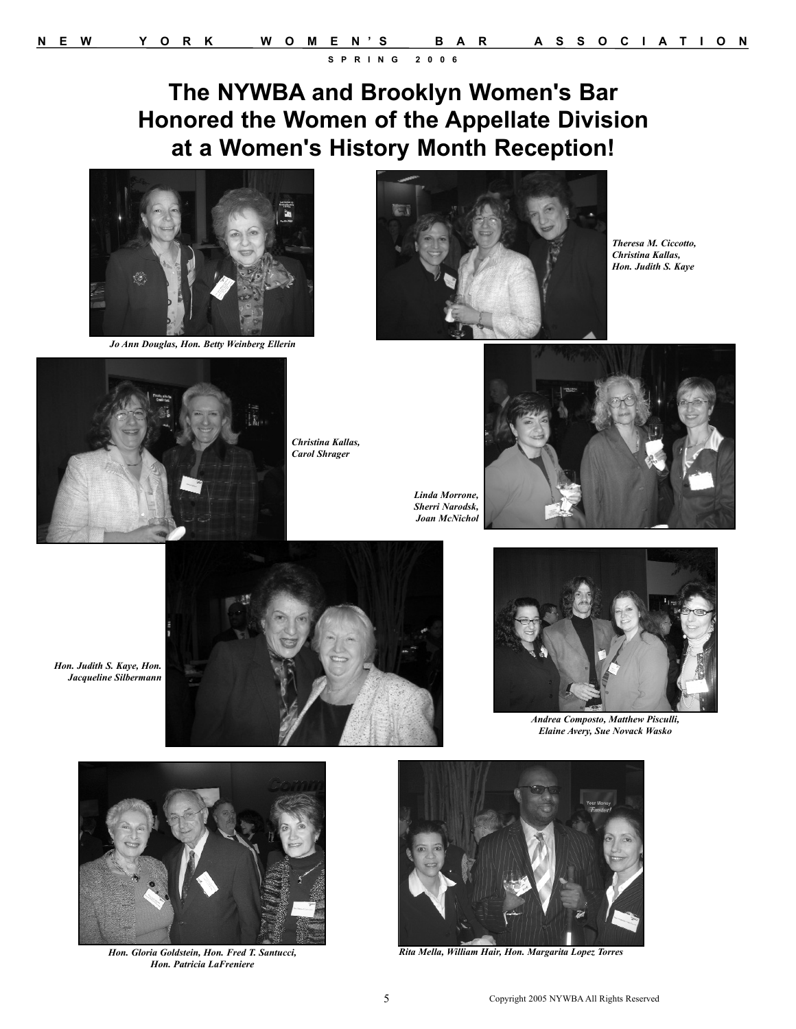# **The NYWBA and Brooklyn Women's Bar Honored the Women of the Appellate Division at a Women's History Month Reception!**



*Jo Ann Douglas, Hon. Betty Weinberg Ellerin*



*Theresa M. Ciccotto, Christina Kallas, Hon. Judith S. Kaye*



*Hon. Judith S. Kaye, Hon. Jacqueline Silbermann*

*Christina Kallas, Carol Shrager*

*Sherri Narodsk,* 



*Linda Morrone, Joan McNichol*





*Andrea Composto, Matthew Pisculli, Elaine Avery, Sue Novack Wasko*



*Hon. Gloria Goldstein, Hon. Fred T. Santucci, Hon. Patricia LaFreniere*



*Rita Mella, William Hair, Hon. Margarita Lopez Torres*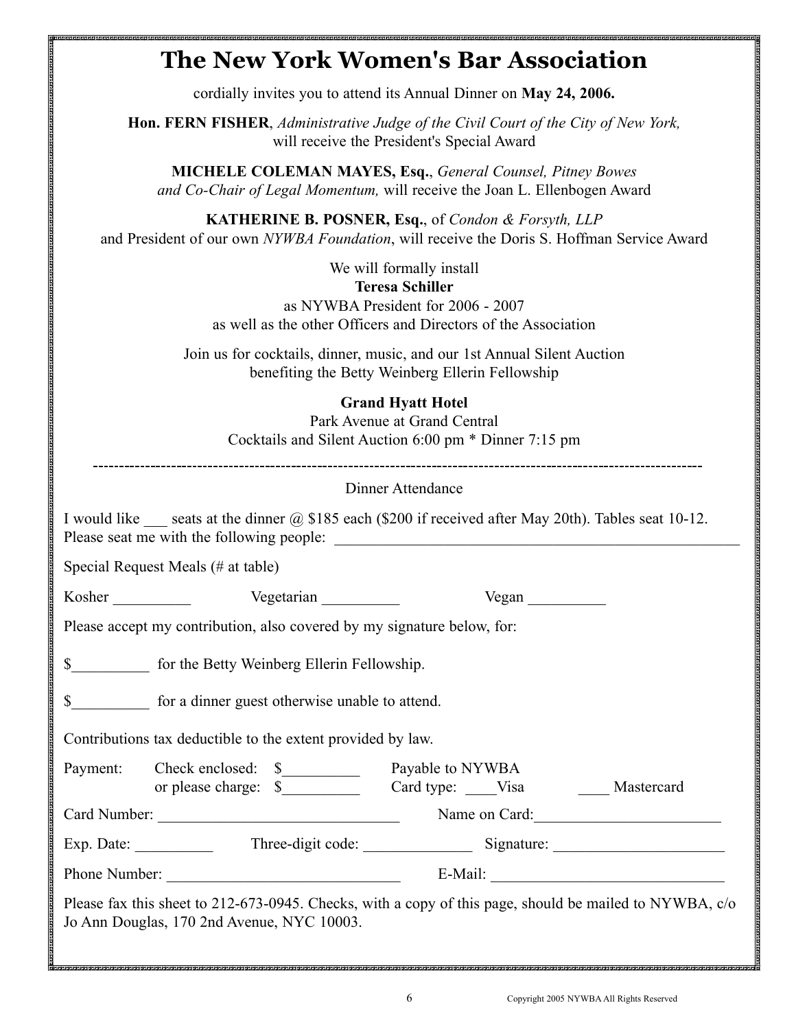# **The New York Women's Bar Association**

cordially invites you to attend its Annual Dinner on **May 24, 2006.**

**Hon. FERN FISHER**, *Administrative Judge of the Civil Court of the City of New York,* will receive the President's Special Award

**MICHELE COLEMAN MAYES, Esq.**, *General Counsel, Pitney Bowes and Co-Chair of Legal Momentum,* will receive the Joan L. Ellenbogen Award

**KATHERINE B. POSNER, Esq.**, of *Condon & Forsyth, LLP* and President of our own *NYWBA Foundation*, will receive the Doris S. Hoffman Service Award

We will formally install

#### **Teresa Schiller**

as NYWBA President for 2006 - 2007 as well as the other Officers and Directors of the Association

Join us for cocktails, dinner, music, and our 1st Annual Silent Auction benefiting the Betty Weinberg Ellerin Fellowship

### **Grand Hyatt Hotel**

Park Avenue at Grand Central Cocktails and Silent Auction 6:00 pm \* Dinner 7:15 pm

#### Dinner Attendance

I would like seats at the dinner  $\omega$ , \$185 each (\$200 if received after May 20th). Tables seat 10-12. Please seat me with the following people: \_\_\_\_\_\_\_\_\_\_\_\_\_\_\_\_\_\_\_\_\_\_\_\_\_\_\_\_\_\_\_\_\_\_\_\_\_\_\_\_\_\_\_\_\_\_\_\_\_\_\_\_ Special Request Meals (# at table) Kosher Vegetarian Vegetarian Vegan Vegan Zegan Zegan Zegan Zegan Zegan Zegan Zegan Zegan Zegan Zegan Zegan Zegan Zegan Zegan Zegan Zegan Zegan Zegan Zegan Zegan Zegan Zegan Zegan Zegan Zegan Zegan Zegan Zegan Zegan Zegan Z Please accept my contribution, also covered by my signature below, for: \$ for the Betty Weinberg Ellerin Fellowship. \$\_\_\_\_\_\_\_\_\_\_ for a dinner guest otherwise unable to attend.

Contributions tax deductible to the extent provided by law.

<u>an sing menggunak panggunan panggunan dan panggunan sanggunan menggunan sanggunan panggunan sanggunan sangguna</u>

| Payment:     | Check enclosed: \$   |  | Payable to NYWBA |      |            |
|--------------|----------------------|--|------------------|------|------------|
|              | or please charge: \$ |  | Card type:       | Visa | Mastercard |
| Card Number: |                      |  | Name on Card:    |      |            |

Exp. Date: Three-digit code: Signature:

Phone Number: \_\_\_\_\_\_\_\_\_\_\_\_\_\_\_\_\_\_\_\_\_\_\_\_\_\_\_\_\_\_ E-Mail: \_\_\_\_\_\_\_\_\_\_\_\_\_\_\_\_\_\_\_\_\_\_\_\_\_\_\_\_\_\_

Please fax this sheet to 212-673-0945. Checks, with a copy of this page, should be mailed to NYWBA, c/o Jo Ann Douglas, 170 2nd Avenue, NYC 10003.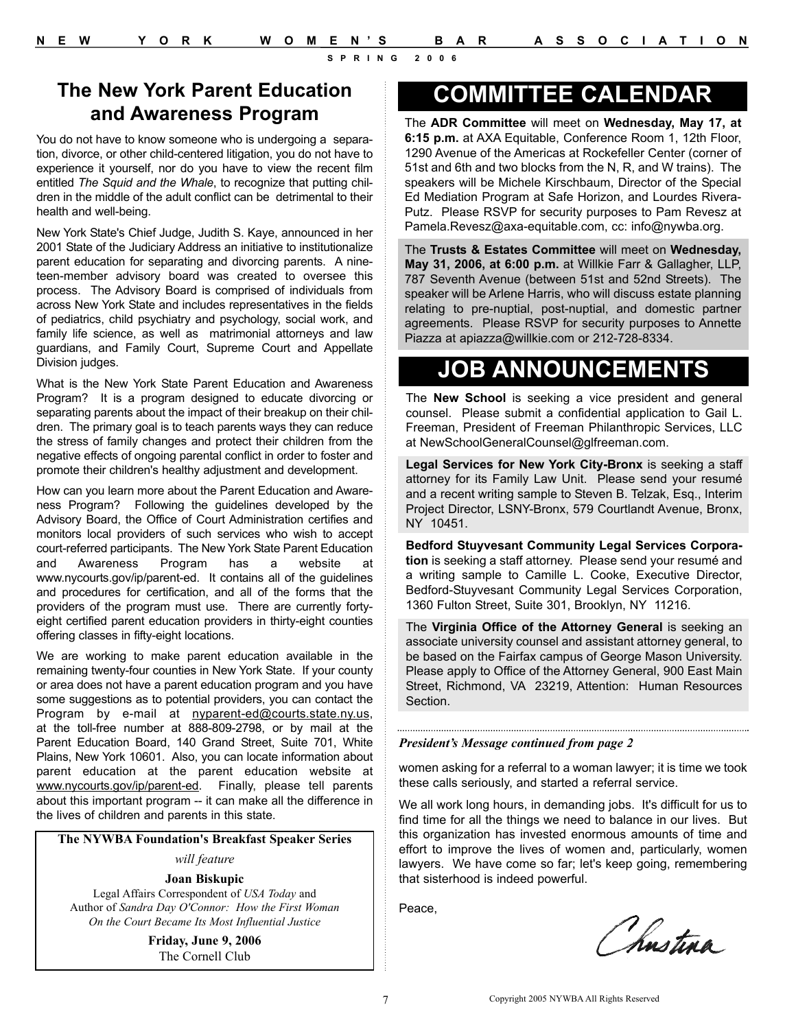### **The New York Parent Education and Awareness Program**

You do not have to know someone who is undergoing a separation, divorce, or other child-centered litigation, you do not have to experience it yourself, nor do you have to view the recent film entitled *The Squid and the Whale*, to recognize that putting children in the middle of the adult conflict can be detrimental to their health and well-being.

New York State's Chief Judge, Judith S. Kaye, announced in her 2001 State of the Judiciary Address an initiative to institutionalize parent education for separating and divorcing parents. A nineteen-member advisory board was created to oversee this process. The Advisory Board is comprised of individuals from across New York State and includes representatives in the fields of pediatrics, child psychiatry and psychology, social work, and family life science, as well as matrimonial attorneys and law guardians, and Family Court, Supreme Court and Appellate Division judges.

What is the New York State Parent Education and Awareness Program? It is a program designed to educate divorcing or separating parents about the impact of their breakup on their children. The primary goal is to teach parents ways they can reduce the stress of family changes and protect their children from the negative effects of ongoing parental conflict in order to foster and promote their children's healthy adjustment and development.

How can you learn more about the Parent Education and Awareness Program? Following the guidelines developed by the Advisory Board, the Office of Court Administration certifies and monitors local providers of such services who wish to accept court-referred participants. The New York State Parent Education and Awareness Program has a website at www.nycourts.gov/ip/parent-ed. It contains all of the guidelines and procedures for certification, and all of the forms that the providers of the program must use. There are currently fortyeight certified parent education providers in thirty-eight counties offering classes in fifty-eight locations.

We are working to make parent education available in the remaining twenty-four counties in New York State. If your county or area does not have a parent education program and you have some suggestions as to potential providers, you can contact the Program by e-mail at nyparent-ed@courts.state.ny.us, at the toll-free number at 888-809-2798, or by mail at the Parent Education Board, 140 Grand Street, Suite 701, White Plains, New York 10601. Also, you can locate information about parent education at the parent education website at www.nycourts.gov/ip/parent-ed. Finally, please tell parents about this important program -- it can make all the difference in the lives of children and parents in this state.

#### **The NYWBA Foundation's Breakfast Speaker Series**

*will feature*

#### **Joan Biskupic**

Legal Affairs Correspondent of *USA Today* and Author of *Sandra Day O'Connor: How the First Woman On the Court Became Its Most Influential Justice*

> **Friday, June 9, 2006** The Cornell Club

# **COMMITTEE CALENDAR**

The **ADR Committee** will meet on **Wednesday, May 17, at 6:15 p.m.** at AXA Equitable, Conference Room 1, 12th Floor, 1290 Avenue of the Americas at Rockefeller Center (corner of 51st and 6th and two blocks from the N, R, and W trains). The speakers will be Michele Kirschbaum, Director of the Special Ed Mediation Program at Safe Horizon, and Lourdes Rivera-Putz. Please RSVP for security purposes to Pam Revesz at Pamela.Revesz@axa-equitable.com, cc: info@nywba.org.

The **Trusts & Estates Committee** will meet on **Wednesday, May 31, 2006, at 6:00 p.m.** at Willkie Farr & Gallagher, LLP, 787 Seventh Avenue (between 51st and 52nd Streets). The speaker will be Arlene Harris, who will discuss estate planning relating to pre-nuptial, post-nuptial, and domestic partner agreements. Please RSVP for security purposes to Annette Piazza at apiazza@willkie.com or 212-728-8334.

# **JOB ANNOUNCEMENTS**

The **New School** is seeking a vice president and general counsel. Please submit a confidential application to Gail L. Freeman, President of Freeman Philanthropic Services, LLC at NewSchoolGeneralCounsel@glfreeman.com.

**Legal Services for New York City-Bronx** is seeking a staff attorney for its Family Law Unit. Please send your resumé and a recent writing sample to Steven B. Telzak, Esq., Interim Project Director, LSNY-Bronx, 579 Courtlandt Avenue, Bronx, NY 10451.

**Bedford Stuyvesant Community Legal Services Corporation** is seeking a staff attorney. Please send your resumé and a writing sample to Camille L. Cooke, Executive Director, Bedford-Stuyvesant Community Legal Services Corporation, 1360 Fulton Street, Suite 301, Brooklyn, NY 11216.

The **Virginia Office of the Attorney General** is seeking an associate university counsel and assistant attorney general, to be based on the Fairfax campus of George Mason University. Please apply to Office of the Attorney General, 900 East Main Street, Richmond, VA 23219, Attention: Human Resources Section.

#### *President's Message continued from page 2*

women asking for a referral to a woman lawyer; it is time we took these calls seriously, and started a referral service.

We all work long hours, in demanding jobs. It's difficult for us to find time for all the things we need to balance in our lives. But this organization has invested enormous amounts of time and effort to improve the lives of women and, particularly, women lawyers. We have come so far; let's keep going, remembering that sisterhood is indeed powerful.

Peace,

Chnstina